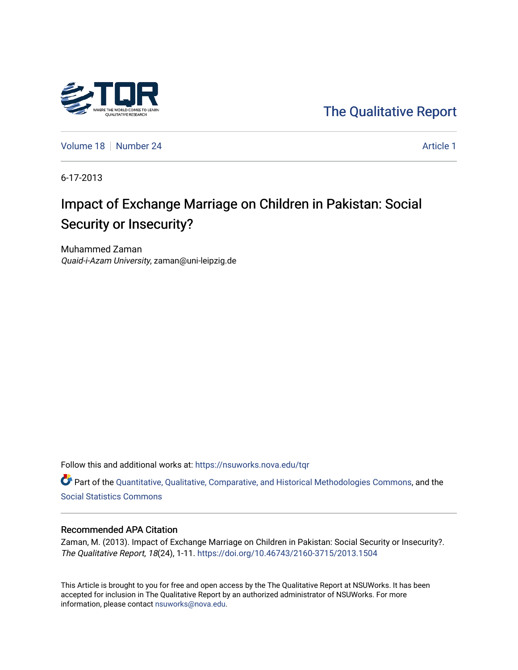

[The Qualitative Report](https://nsuworks.nova.edu/tqr) 

[Volume 18](https://nsuworks.nova.edu/tqr/vol18) [Number 24](https://nsuworks.nova.edu/tqr/vol18/iss24) [Article 1](https://nsuworks.nova.edu/tqr/vol18/iss24/1) Number 24

6-17-2013

## Impact of Exchange Marriage on Children in Pakistan: Social Security or Insecurity?

Muhammed Zaman Quaid-i-Azam University, zaman@uni-leipzig.de

Follow this and additional works at: [https://nsuworks.nova.edu/tqr](https://nsuworks.nova.edu/tqr?utm_source=nsuworks.nova.edu%2Ftqr%2Fvol18%2Fiss24%2F1&utm_medium=PDF&utm_campaign=PDFCoverPages) 

Part of the [Quantitative, Qualitative, Comparative, and Historical Methodologies Commons,](http://network.bepress.com/hgg/discipline/423?utm_source=nsuworks.nova.edu%2Ftqr%2Fvol18%2Fiss24%2F1&utm_medium=PDF&utm_campaign=PDFCoverPages) and the [Social Statistics Commons](http://network.bepress.com/hgg/discipline/1275?utm_source=nsuworks.nova.edu%2Ftqr%2Fvol18%2Fiss24%2F1&utm_medium=PDF&utm_campaign=PDFCoverPages) 

#### Recommended APA Citation

Zaman, M. (2013). Impact of Exchange Marriage on Children in Pakistan: Social Security or Insecurity?. The Qualitative Report, 18(24), 1-11.<https://doi.org/10.46743/2160-3715/2013.1504>

This Article is brought to you for free and open access by the The Qualitative Report at NSUWorks. It has been accepted for inclusion in The Qualitative Report by an authorized administrator of NSUWorks. For more information, please contact [nsuworks@nova.edu.](mailto:nsuworks@nova.edu)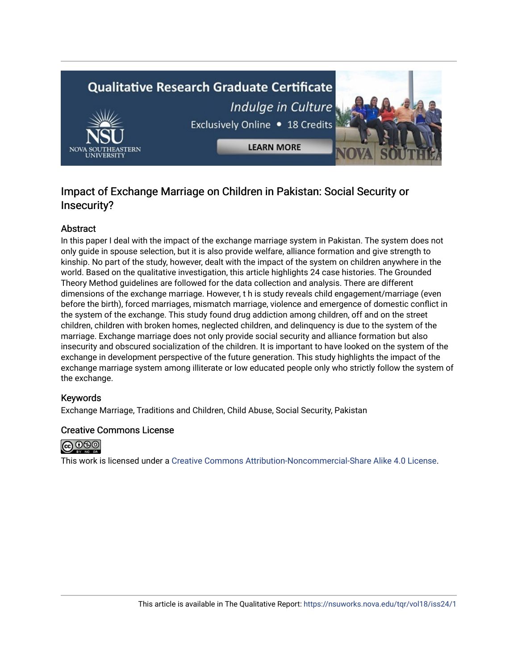# **Qualitative Research Graduate Certificate** Indulge in Culture Exclusively Online . 18 Credits **LEARN MORE**

### Impact of Exchange Marriage on Children in Pakistan: Social Security or Insecurity?

#### Abstract

In this paper I deal with the impact of the exchange marriage system in Pakistan. The system does not only guide in spouse selection, but it is also provide welfare, alliance formation and give strength to kinship. No part of the study, however, dealt with the impact of the system on children anywhere in the world. Based on the qualitative investigation, this article highlights 24 case histories. The Grounded Theory Method guidelines are followed for the data collection and analysis. There are different dimensions of the exchange marriage. However, t h is study reveals child engagement/marriage (even before the birth), forced marriages, mismatch marriage, violence and emergence of domestic conflict in the system of the exchange. This study found drug addiction among children, off and on the street children, children with broken homes, neglected children, and delinquency is due to the system of the marriage. Exchange marriage does not only provide social security and alliance formation but also insecurity and obscured socialization of the children. It is important to have looked on the system of the exchange in development perspective of the future generation. This study highlights the impact of the exchange marriage system among illiterate or low educated people only who strictly follow the system of the exchange.

#### Keywords

Exchange Marriage, Traditions and Children, Child Abuse, Social Security, Pakistan

#### Creative Commons License



This work is licensed under a [Creative Commons Attribution-Noncommercial-Share Alike 4.0 License](https://creativecommons.org/licenses/by-nc-sa/4.0/).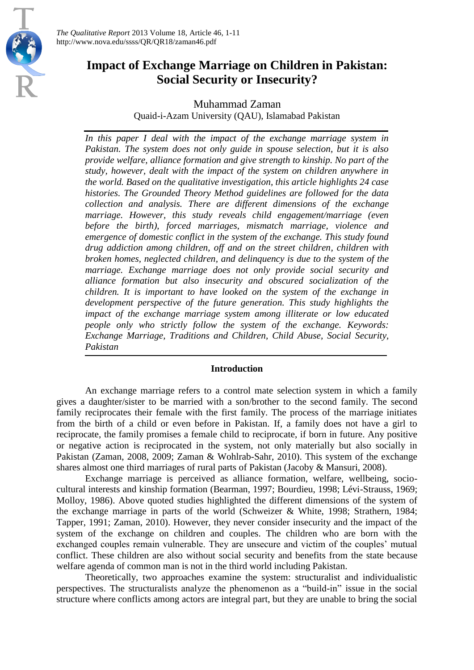

*The Qualitative Report* 2013 Volume 18, Article 46, 1-11 http://www.nova.edu/ssss/QR/QR18/zaman46.pdf

## **Impact of Exchange Marriage on Children in Pakistan: Social Security or Insecurity?**

Muhammad Zaman

Quaid-i-Azam University (QAU), Islamabad Pakistan

*In this paper I deal with the impact of the exchange marriage system in Pakistan. The system does not only guide in spouse selection, but it is also provide welfare, alliance formation and give strength to kinship. No part of the study, however, dealt with the impact of the system on children anywhere in the world. Based on the qualitative investigation, this article highlights 24 case histories. The Grounded Theory Method guidelines are followed for the data collection and analysis. There are different dimensions of the exchange marriage. However, this study reveals child engagement/marriage (even before the birth), forced marriages, mismatch marriage, violence and emergence of domestic conflict in the system of the exchange. This study found drug addiction among children, off and on the street children, children with broken homes, neglected children, and delinquency is due to the system of the marriage. Exchange marriage does not only provide social security and alliance formation but also insecurity and obscured socialization of the children. It is important to have looked on the system of the exchange in development perspective of the future generation. This study highlights the impact of the exchange marriage system among illiterate or low educated people only who strictly follow the system of the exchange. Keywords: Exchange Marriage, Traditions and Children, Child Abuse, Social Security, Pakistan*

#### **Introduction**

An exchange marriage refers to a control mate selection system in which a family gives a daughter/sister to be married with a son/brother to the second family. The second family reciprocates their female with the first family. The process of the marriage initiates from the birth of a child or even before in Pakistan. If, a family does not have a girl to reciprocate, the family promises a female child to reciprocate, if born in future. Any positive or negative action is reciprocated in the system, not only materially but also socially in Pakistan (Zaman, 2008, 2009; Zaman & Wohlrab-Sahr, 2010). This system of the exchange shares almost one third marriages of rural parts of Pakistan (Jacoby & Mansuri, 2008).

Exchange marriage is perceived as alliance formation, welfare, wellbeing, sociocultural interests and kinship formation (Bearman, 1997; Bourdieu, 1998; Lévi-Strauss, 1969; Molloy, 1986). Above quoted studies highlighted the different dimensions of the system of the exchange marriage in parts of the world (Schweizer & White, 1998; Strathern, 1984; Tapper, 1991; Zaman, 2010). However, they never consider insecurity and the impact of the system of the exchange on children and couples. The children who are born with the exchanged couples remain vulnerable. They are unsecure and victim of the couples' mutual conflict. These children are also without social security and benefits from the state because welfare agenda of common man is not in the third world including Pakistan.

Theoretically, two approaches examine the system: structuralist and individualistic perspectives. The structuralists analyze the phenomenon as a "build-in" issue in the social structure where conflicts among actors are integral part, but they are unable to bring the social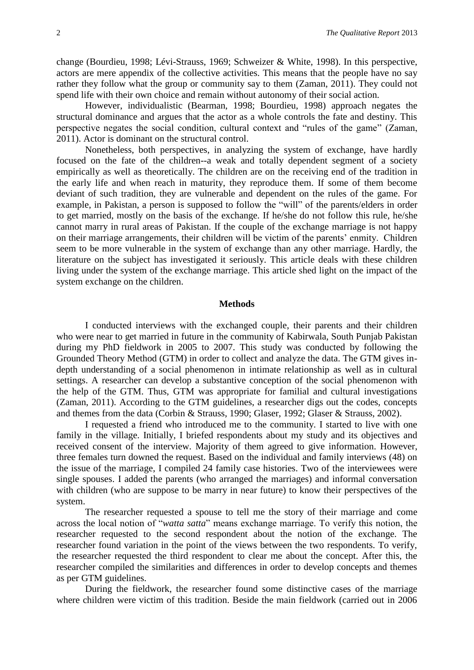change (Bourdieu, 1998; Lévi-Strauss, 1969; Schweizer & White, 1998). In this perspective, actors are mere appendix of the collective activities. This means that the people have no say rather they follow what the group or community say to them (Zaman, 2011). They could not spend life with their own choice and remain without autonomy of their social action.

However, individualistic (Bearman, 1998; Bourdieu, 1998) approach negates the structural dominance and argues that the actor as a whole controls the fate and destiny. This perspective negates the social condition, cultural context and "rules of the game" (Zaman, 2011). Actor is dominant on the structural control.

Nonetheless, both perspectives, in analyzing the system of exchange, have hardly focused on the fate of the children--a weak and totally dependent segment of a society empirically as well as theoretically. The children are on the receiving end of the tradition in the early life and when reach in maturity, they reproduce them. If some of them become deviant of such tradition, they are vulnerable and dependent on the rules of the game. For example, in Pakistan, a person is supposed to follow the "will" of the parents/elders in order to get married, mostly on the basis of the exchange. If he/she do not follow this rule, he/she cannot marry in rural areas of Pakistan. If the couple of the exchange marriage is not happy on their marriage arrangements, their children will be victim of the parents' enmity. Children seem to be more vulnerable in the system of exchange than any other marriage. Hardly, the literature on the subject has investigated it seriously. This article deals with these children living under the system of the exchange marriage. This article shed light on the impact of the system exchange on the children.

#### **Methods**

I conducted interviews with the exchanged couple, their parents and their children who were near to get married in future in the community of Kabirwala, South Punjab Pakistan during my PhD fieldwork in 2005 to 2007. This study was conducted by following the Grounded Theory Method (GTM) in order to collect and analyze the data. The GTM gives indepth understanding of a social phenomenon in intimate relationship as well as in cultural settings. A researcher can develop a substantive conception of the social phenomenon with the help of the GTM. Thus, GTM was appropriate for familial and cultural investigations (Zaman, 2011). According to the GTM guidelines, a researcher digs out the codes, concepts and themes from the data (Corbin & Strauss, 1990; Glaser, 1992; Glaser & Strauss, 2002).

I requested a friend who introduced me to the community. I started to live with one family in the village. Initially, I briefed respondents about my study and its objectives and received consent of the interview. Majority of them agreed to give information. However, three females turn downed the request. Based on the individual and family interviews (48) on the issue of the marriage, I compiled 24 family case histories. Two of the interviewees were single spouses. I added the parents (who arranged the marriages) and informal conversation with children (who are suppose to be marry in near future) to know their perspectives of the system.

The researcher requested a spouse to tell me the story of their marriage and come across the local notion of "*watta satta*" means exchange marriage. To verify this notion, the researcher requested to the second respondent about the notion of the exchange. The researcher found variation in the point of the views between the two respondents. To verify, the researcher requested the third respondent to clear me about the concept. After this, the researcher compiled the similarities and differences in order to develop concepts and themes as per GTM guidelines.

During the fieldwork, the researcher found some distinctive cases of the marriage where children were victim of this tradition. Beside the main fieldwork (carried out in 2006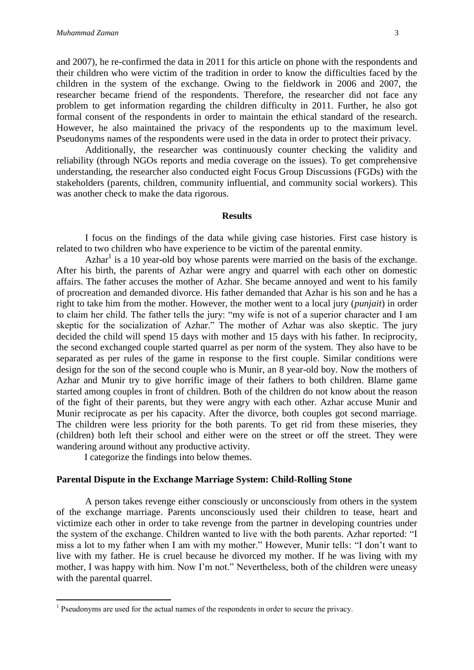and 2007), he re-confirmed the data in 2011 for this article on phone with the respondents and their children who were victim of the tradition in order to know the difficulties faced by the children in the system of the exchange. Owing to the fieldwork in 2006 and 2007, the researcher became friend of the respondents. Therefore, the researcher did not face any problem to get information regarding the children difficulty in 2011. Further, he also got formal consent of the respondents in order to maintain the ethical standard of the research. However, he also maintained the privacy of the respondents up to the maximum level. Pseudonyms names of the respondents were used in the data in order to protect their privacy.

Additionally, the researcher was continuously counter checking the validity and reliability (through NGOs reports and media coverage on the issues). To get comprehensive understanding, the researcher also conducted eight Focus Group Discussions (FGDs) with the stakeholders (parents, children, community influential, and community social workers). This was another check to make the data rigorous.

#### **Results**

I focus on the findings of the data while giving case histories. First case history is related to two children who have experience to be victim of the parental enmity.

Azhar<sup>1</sup> is a 10 year-old boy whose parents were married on the basis of the exchange. After his birth, the parents of Azhar were angry and quarrel with each other on domestic affairs. The father accuses the mother of Azhar. She became annoyed and went to his family of procreation and demanded divorce. His father demanded that Azhar is his son and he has a right to take him from the mother. However, the mother went to a local jury (*punjait*) in order to claim her child. The father tells the jury: "my wife is not of a superior character and I am skeptic for the socialization of Azhar." The mother of Azhar was also skeptic. The jury decided the child will spend 15 days with mother and 15 days with his father. In reciprocity, the second exchanged couple started quarrel as per norm of the system. They also have to be separated as per rules of the game in response to the first couple. Similar conditions were design for the son of the second couple who is Munir, an 8 year-old boy. Now the mothers of Azhar and Munir try to give horrific image of their fathers to both children. Blame game started among couples in front of children. Both of the children do not know about the reason of the fight of their parents, but they were angry with each other. Azhar accuse Munir and Munir reciprocate as per his capacity. After the divorce, both couples got second marriage. The children were less priority for the both parents. To get rid from these miseries, they (children) both left their school and either were on the street or off the street. They were wandering around without any productive activity.

I categorize the findings into below themes.

 $\overline{a}$ 

#### **Parental Dispute in the Exchange Marriage System: Child-Rolling Stone**

A person takes revenge either consciously or unconsciously from others in the system of the exchange marriage. Parents unconsciously used their children to tease, heart and victimize each other in order to take revenge from the partner in developing countries under the system of the exchange. Children wanted to live with the both parents. Azhar reported: "I miss a lot to my father when I am with my mother." However, Munir tells: "I don't want to live with my father. He is cruel because he divorced my mother. If he was living with my mother, I was happy with him. Now I'm not." Nevertheless, both of the children were uneasy with the parental quarrel.

 $<sup>1</sup>$  Pseudonyms are used for the actual names of the respondents in order to secure the privacy.</sup>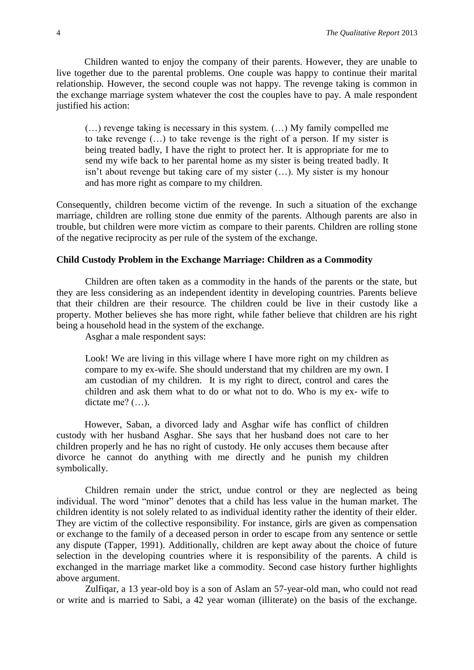Children wanted to enjoy the company of their parents. However, they are unable to live together due to the parental problems. One couple was happy to continue their marital relationship. However, the second couple was not happy. The revenge taking is common in the exchange marriage system whatever the cost the couples have to pay. A male respondent justified his action:

(…) revenge taking is necessary in this system. (…) My family compelled me to take revenge (…) to take revenge is the right of a person. If my sister is being treated badly, I have the right to protect her. It is appropriate for me to send my wife back to her parental home as my sister is being treated badly. It isn't about revenge but taking care of my sister (…). My sister is my honour and has more right as compare to my children.

Consequently, children become victim of the revenge. In such a situation of the exchange marriage, children are rolling stone due enmity of the parents. Although parents are also in trouble, but children were more victim as compare to their parents. Children are rolling stone of the negative reciprocity as per rule of the system of the exchange.

#### **Child Custody Problem in the Exchange Marriage: Children as a Commodity**

Children are often taken as a commodity in the hands of the parents or the state, but they are less considering as an independent identity in developing countries. Parents believe that their children are their resource. The children could be live in their custody like a property. Mother believes she has more right, while father believe that children are his right being a household head in the system of the exchange.

Asghar a male respondent says:

Look! We are living in this village where I have more right on my children as compare to my ex-wife. She should understand that my children are my own. I am custodian of my children. It is my right to direct, control and cares the children and ask them what to do or what not to do. Who is my ex- wife to dictate me? (…).

However, Saban, a divorced lady and Asghar wife has conflict of children custody with her husband Asghar. She says that her husband does not care to her children properly and he has no right of custody. He only accuses them because after divorce he cannot do anything with me directly and he punish my children symbolically.

Children remain under the strict, undue control or they are neglected as being individual. The word "minor" denotes that a child has less value in the human market. The children identity is not solely related to as individual identity rather the identity of their elder. They are victim of the collective responsibility. For instance, girls are given as compensation or exchange to the family of a deceased person in order to escape from any sentence or settle any dispute (Tapper, 1991). Additionally, children are kept away about the choice of future selection in the developing countries where it is responsibility of the parents. A child is exchanged in the marriage market like a commodity. Second case history further highlights above argument.

Zulfiqar, a 13 year-old boy is a son of Aslam an 57-year-old man, who could not read or write and is married to Sabi, a 42 year woman (illiterate) on the basis of the exchange.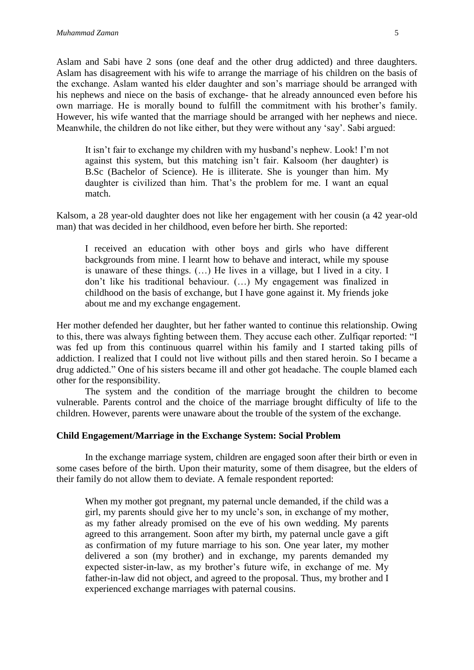Aslam and Sabi have 2 sons (one deaf and the other drug addicted) and three daughters. Aslam has disagreement with his wife to arrange the marriage of his children on the basis of the exchange. Aslam wanted his elder daughter and son's marriage should be arranged with his nephews and niece on the basis of exchange- that he already announced even before his own marriage. He is morally bound to fulfill the commitment with his brother's family. However, his wife wanted that the marriage should be arranged with her nephews and niece. Meanwhile, the children do not like either, but they were without any 'say'. Sabi argued:

It isn't fair to exchange my children with my husband's nephew. Look! I'm not against this system, but this matching isn't fair. Kalsoom (her daughter) is B.Sc (Bachelor of Science). He is illiterate. She is younger than him. My daughter is civilized than him. That's the problem for me. I want an equal match.

Kalsom, a 28 year-old daughter does not like her engagement with her cousin (a 42 year-old man) that was decided in her childhood, even before her birth. She reported:

I received an education with other boys and girls who have different backgrounds from mine. I learnt how to behave and interact, while my spouse is unaware of these things. (…) He lives in a village, but I lived in a city. I don't like his traditional behaviour. (…) My engagement was finalized in childhood on the basis of exchange, but I have gone against it. My friends joke about me and my exchange engagement.

Her mother defended her daughter, but her father wanted to continue this relationship. Owing to this, there was always fighting between them. They accuse each other. Zulfiqar reported: "I was fed up from this continuous quarrel within his family and I started taking pills of addiction. I realized that I could not live without pills and then stared heroin. So I became a drug addicted." One of his sisters became ill and other got headache. The couple blamed each other for the responsibility.

The system and the condition of the marriage brought the children to become vulnerable. Parents control and the choice of the marriage brought difficulty of life to the children. However, parents were unaware about the trouble of the system of the exchange.

#### **Child Engagement/Marriage in the Exchange System: Social Problem**

In the exchange marriage system, children are engaged soon after their birth or even in some cases before of the birth. Upon their maturity, some of them disagree, but the elders of their family do not allow them to deviate. A female respondent reported:

When my mother got pregnant, my paternal uncle demanded, if the child was a girl, my parents should give her to my uncle's son, in exchange of my mother, as my father already promised on the eve of his own wedding. My parents agreed to this arrangement. Soon after my birth, my paternal uncle gave a gift as confirmation of my future marriage to his son. One year later, my mother delivered a son (my brother) and in exchange, my parents demanded my expected sister-in-law, as my brother's future wife, in exchange of me. My father-in-law did not object, and agreed to the proposal. Thus, my brother and I experienced exchange marriages with paternal cousins.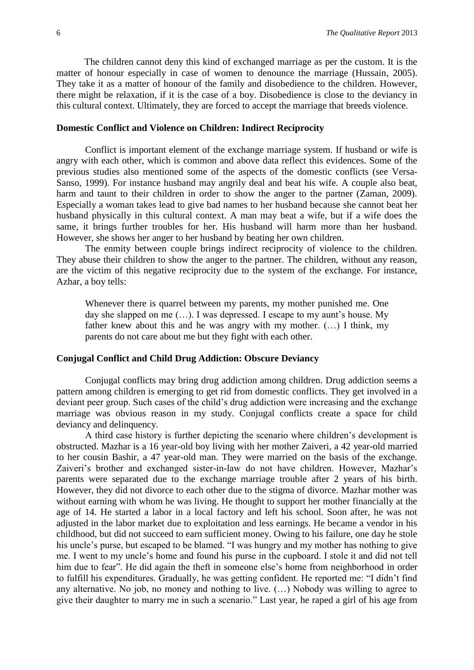The children cannot deny this kind of exchanged marriage as per the custom. It is the matter of honour especially in case of women to denounce the marriage (Hussain, 2005). They take it as a matter of honour of the family and disobedience to the children. However, there might be relaxation, if it is the case of a boy. Disobedience is close to the deviancy in this cultural context. Ultimately, they are forced to accept the marriage that breeds violence.

#### **Domestic Conflict and Violence on Children: Indirect Reciprocity**

Conflict is important element of the exchange marriage system. If husband or wife is angry with each other, which is common and above data reflect this evidences. Some of the previous studies also mentioned some of the aspects of the domestic conflicts (see Versa-Sanso, 1999). For instance husband may angrily deal and beat his wife. A couple also beat, harm and taunt to their children in order to show the anger to the partner (Zaman, 2009). Especially a woman takes lead to give bad names to her husband because she cannot beat her husband physically in this cultural context. A man may beat a wife, but if a wife does the same, it brings further troubles for her. His husband will harm more than her husband. However, she shows her anger to her husband by beating her own children.

The enmity between couple brings indirect reciprocity of violence to the children. They abuse their children to show the anger to the partner. The children, without any reason, are the victim of this negative reciprocity due to the system of the exchange. For instance, Azhar, a boy tells:

Whenever there is quarrel between my parents, my mother punished me. One day she slapped on me (…). I was depressed. I escape to my aunt's house. My father knew about this and he was angry with my mother. (…) I think, my parents do not care about me but they fight with each other.

#### **Conjugal Conflict and Child Drug Addiction: Obscure Deviancy**

Conjugal conflicts may bring drug addiction among children. Drug addiction seems a pattern among children is emerging to get rid from domestic conflicts. They get involved in a deviant peer group. Such cases of the child's drug addiction were increasing and the exchange marriage was obvious reason in my study. Conjugal conflicts create a space for child deviancy and delinquency.

A third case history is further depicting the scenario where children's development is obstructed. Mazhar is a 16 year-old boy living with her mother Zaiveri, a 42 year-old married to her cousin Bashir, a 47 year-old man. They were married on the basis of the exchange. Zaiveri's brother and exchanged sister-in-law do not have children. However, Mazhar's parents were separated due to the exchange marriage trouble after 2 years of his birth. However, they did not divorce to each other due to the stigma of divorce. Mazhar mother was without earning with whom he was living. He thought to support her mother financially at the age of 14. He started a labor in a local factory and left his school. Soon after, he was not adjusted in the labor market due to exploitation and less earnings. He became a vendor in his childhood, but did not succeed to earn sufficient money. Owing to his failure, one day he stole his uncle's purse, but escaped to be blamed. "I was hungry and my mother has nothing to give me. I went to my uncle's home and found his purse in the cupboard. I stole it and did not tell him due to fear". He did again the theft in someone else's home from neighborhood in order to fulfill his expenditures. Gradually, he was getting confident. He reported me: "I didn't find any alternative. No job, no money and nothing to live. (…) Nobody was willing to agree to give their daughter to marry me in such a scenario." Last year, he raped a girl of his age from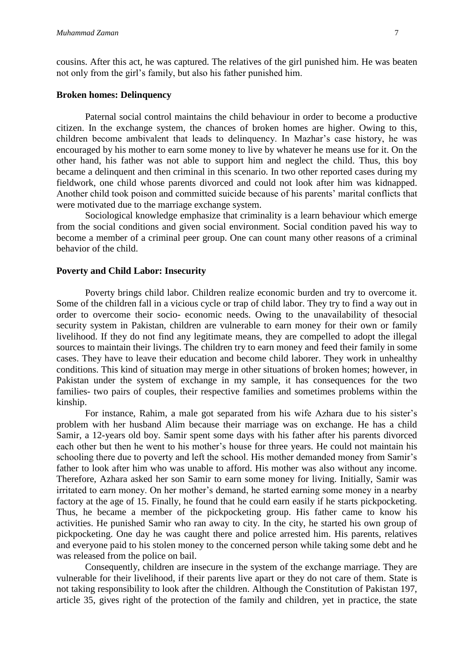cousins. After this act, he was captured. The relatives of the girl punished him. He was beaten not only from the girl's family, but also his father punished him.

#### **Broken homes: Delinquency**

Paternal social control maintains the child behaviour in order to become a productive citizen. In the exchange system, the chances of broken homes are higher. Owing to this, children become ambivalent that leads to delinquency. In Mazhar's case history, he was encouraged by his mother to earn some money to live by whatever he means use for it. On the other hand, his father was not able to support him and neglect the child. Thus, this boy became a delinquent and then criminal in this scenario. In two other reported cases during my fieldwork, one child whose parents divorced and could not look after him was kidnapped. Another child took poison and committed suicide because of his parents' marital conflicts that were motivated due to the marriage exchange system.

Sociological knowledge emphasize that criminality is a learn behaviour which emerge from the social conditions and given social environment. Social condition paved his way to become a member of a criminal peer group. One can count many other reasons of a criminal behavior of the child.

#### **Poverty and Child Labor: Insecurity**

Poverty brings child labor. Children realize economic burden and try to overcome it. Some of the children fall in a vicious cycle or trap of child labor. They try to find a way out in order to overcome their socio- economic needs. Owing to the unavailability of thesocial security system in Pakistan, children are vulnerable to earn money for their own or family livelihood. If they do not find any legitimate means, they are compelled to adopt the illegal sources to maintain their livings. The children try to earn money and feed their family in some cases. They have to leave their education and become child laborer. They work in unhealthy conditions. This kind of situation may merge in other situations of broken homes; however, in Pakistan under the system of exchange in my sample, it has consequences for the two families- two pairs of couples, their respective families and sometimes problems within the kinship.

For instance, Rahim, a male got separated from his wife Azhara due to his sister's problem with her husband Alim because their marriage was on exchange. He has a child Samir, a 12-years old boy. Samir spent some days with his father after his parents divorced each other but then he went to his mother's house for three years. He could not maintain his schooling there due to poverty and left the school. His mother demanded money from Samir's father to look after him who was unable to afford. His mother was also without any income. Therefore, Azhara asked her son Samir to earn some money for living. Initially, Samir was irritated to earn money. On her mother's demand, he started earning some money in a nearby factory at the age of 15. Finally, he found that he could earn easily if he starts pickpocketing. Thus, he became a member of the pickpocketing group. His father came to know his activities. He punished Samir who ran away to city. In the city, he started his own group of pickpocketing. One day he was caught there and police arrested him. His parents, relatives and everyone paid to his stolen money to the concerned person while taking some debt and he was released from the police on bail.

Consequently, children are insecure in the system of the exchange marriage. They are vulnerable for their livelihood, if their parents live apart or they do not care of them. State is not taking responsibility to look after the children. Although the Constitution of Pakistan 197, article 35, gives right of the protection of the family and children, yet in practice, the state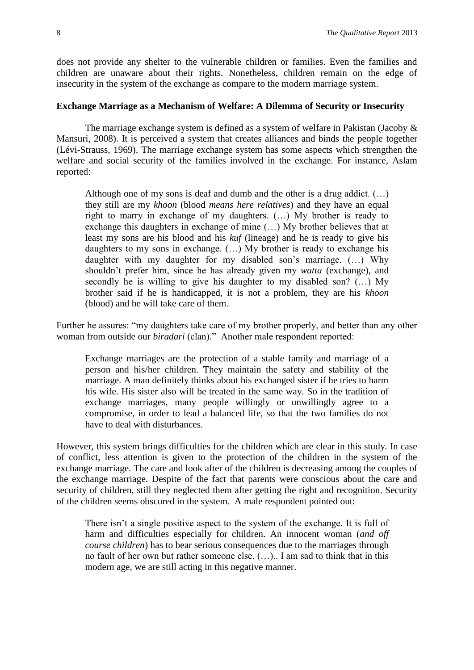does not provide any shelter to the vulnerable children or families. Even the families and children are unaware about their rights. Nonetheless, children remain on the edge of insecurity in the system of the exchange as compare to the modern marriage system.

#### **Exchange Marriage as a Mechanism of Welfare: A Dilemma of Security or Insecurity**

The marriage exchange system is defined as a system of welfare in Pakistan (Jacoby & Mansuri, 2008). It is perceived a system that creates alliances and binds the people together (Lévi-Strauss, 1969). The marriage exchange system has some aspects which strengthen the welfare and social security of the families involved in the exchange. For instance, Aslam reported:

Although one of my sons is deaf and dumb and the other is a drug addict.  $(\ldots)$ they still are my *khoon* (blood *means here relatives*) and they have an equal right to marry in exchange of my daughters. (…) My brother is ready to exchange this daughters in exchange of mine (…) My brother believes that at least my sons are his blood and his *kuf* (lineage) and he is ready to give his daughters to my sons in exchange. (…) My brother is ready to exchange his daughter with my daughter for my disabled son's marriage. (…) Why shouldn't prefer him, since he has already given my *watta* (exchange), and secondly he is willing to give his daughter to my disabled son? (…) My brother said if he is handicapped, it is not a problem, they are his *khoon* (blood) and he will take care of them.

Further he assures: "my daughters take care of my brother properly, and better than any other woman from outside our *biradari* (clan)." Another male respondent reported:

Exchange marriages are the protection of a stable family and marriage of a person and his/her children. They maintain the safety and stability of the marriage. A man definitely thinks about his exchanged sister if he tries to harm his wife. His sister also will be treated in the same way. So in the tradition of exchange marriages, many people willingly or unwillingly agree to a compromise, in order to lead a balanced life, so that the two families do not have to deal with disturbances.

However, this system brings difficulties for the children which are clear in this study. In case of conflict, less attention is given to the protection of the children in the system of the exchange marriage. The care and look after of the children is decreasing among the couples of the exchange marriage. Despite of the fact that parents were conscious about the care and security of children, still they neglected them after getting the right and recognition. Security of the children seems obscured in the system. A male respondent pointed out:

There isn't a single positive aspect to the system of the exchange. It is full of harm and difficulties especially for children. An innocent woman (*and off course children*) has to bear serious consequences due to the marriages through no fault of her own but rather someone else. (…).. I am sad to think that in this modern age, we are still acting in this negative manner.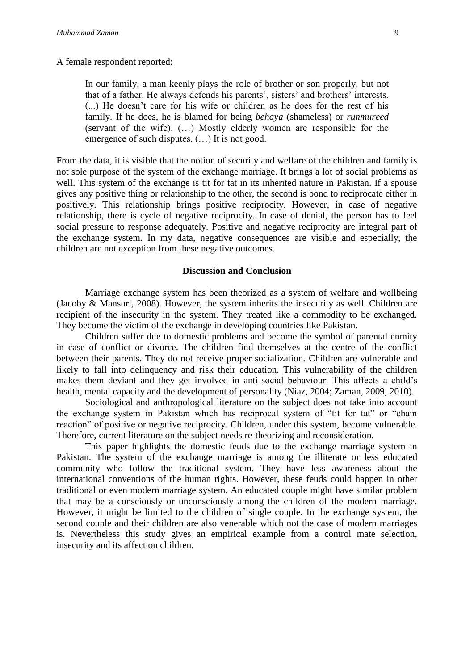A female respondent reported:

In our family, a man keenly plays the role of brother or son properly, but not that of a father. He always defends his parents', sisters' and brothers' interests. (...) He doesn't care for his wife or children as he does for the rest of his family. If he does, he is blamed for being *behaya* (shameless) or *runmureed* (servant of the wife). (…) Mostly elderly women are responsible for the emergence of such disputes. (…) It is not good.

From the data, it is visible that the notion of security and welfare of the children and family is not sole purpose of the system of the exchange marriage. It brings a lot of social problems as well. This system of the exchange is tit for tat in its inherited nature in Pakistan. If a spouse gives any positive thing or relationship to the other, the second is bond to reciprocate either in positively. This relationship brings positive reciprocity. However, in case of negative relationship, there is cycle of negative reciprocity. In case of denial, the person has to feel social pressure to response adequately. Positive and negative reciprocity are integral part of the exchange system. In my data, negative consequences are visible and especially, the children are not exception from these negative outcomes.

#### **Discussion and Conclusion**

Marriage exchange system has been theorized as a system of welfare and wellbeing (Jacoby & Mansuri, 2008). However, the system inherits the insecurity as well. Children are recipient of the insecurity in the system. They treated like a commodity to be exchanged. They become the victim of the exchange in developing countries like Pakistan.

Children suffer due to domestic problems and become the symbol of parental enmity in case of conflict or divorce. The children find themselves at the centre of the conflict between their parents. They do not receive proper socialization. Children are vulnerable and likely to fall into delinquency and risk their education. This vulnerability of the children makes them deviant and they get involved in anti-social behaviour. This affects a child's health, mental capacity and the development of personality (Niaz, 2004; Zaman, 2009, 2010).

Sociological and anthropological literature on the subject does not take into account the exchange system in Pakistan which has reciprocal system of "tit for tat" or "chain reaction" of positive or negative reciprocity. Children, under this system, become vulnerable. Therefore, current literature on the subject needs re-theorizing and reconsideration.

This paper highlights the domestic feuds due to the exchange marriage system in Pakistan. The system of the exchange marriage is among the illiterate or less educated community who follow the traditional system. They have less awareness about the international conventions of the human rights. However, these feuds could happen in other traditional or even modern marriage system. An educated couple might have similar problem that may be a consciously or unconsciously among the children of the modern marriage. However, it might be limited to the children of single couple. In the exchange system, the second couple and their children are also venerable which not the case of modern marriages is. Nevertheless this study gives an empirical example from a control mate selection, insecurity and its affect on children.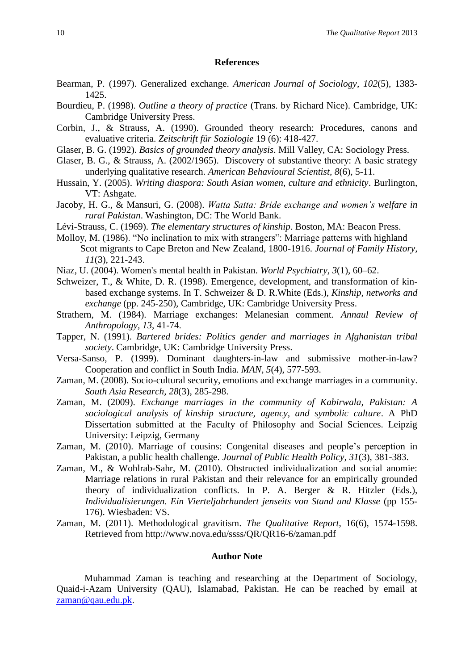#### **References**

- Bearman, P. (1997). Generalized exchange. *American Journal of Sociology, 102*(5), 1383- 1425.
- Bourdieu, P. (1998). *Outline a theory of practice* (Trans. by Richard Nice). Cambridge, UK: Cambridge University Press.
- Corbin, J., & Strauss, A. (1990). Grounded theory research: Procedures, canons and evaluative criteria. *Zeitschrift für Soziologie* 19 (6): 418-427.
- Glaser, B. G. (1992). *Basics of grounded theory analysis*. Mill Valley, CA: Sociology Press.
- Glaser, B. G., & Strauss, A. (2002/1965). Discovery of substantive theory: A basic strategy underlying qualitative research. *American Behavioural Scientist, 8*(6), 5-11.
- Hussain, Y. (2005). *Writing diaspora: South Asian women, culture and ethnicity*. Burlington, VT: Ashgate.
- Jacoby, H. G., & Mansuri, G. (2008). *Watta Satta: Bride exchange and women's welfare in rural Pakistan*. Washington, DC: The World Bank.
- Lévi-Strauss, C. (1969). *The elementary structures of kinship*. Boston, MA: Beacon Press.
- Molloy, M. (1986). "No inclination to mix with strangers": Marriage patterns with highland Scot migrants to Cape Breton and New Zealand, 1800-1916. *Journal of Family History, 11*(3), 221-243.
- Niaz, U. (2004). Women's mental health in Pakistan. *World Psychiatry, 3*(1), 60–62.
- Schweizer, T., & White, D. R. (1998). Emergence, development, and transformation of kinbased exchange systems. In T. Schweizer & D. R.White (Eds.), *Kinship, networks and exchange* (pp. 245-250)*,* Cambridge, UK: Cambridge University Press.
- Strathern, M. (1984). Marriage exchanges: Melanesian comment. *Annaul Review of Anthropology, 13*, 41-74.
- Tapper, N. (1991). *Bartered brides: Politics gender and marriages in Afghanistan tribal society*. Cambridge, UK: Cambridge University Press.
- Versa-Sanso, P. (1999). Dominant daughters-in-law and submissive mother-in-law? Cooperation and conflict in South India. *MAN, 5*(4), 577-593.
- Zaman, M. (2008). Socio-cultural security, emotions and exchange marriages in a community. *South Asia Research, 28*(3), 285-298.
- Zaman, M. (2009). *Exchange marriages in the community of Kabirwala, Pakistan: A sociological analysis of kinship structure, agency, and symbolic culture*. A PhD Dissertation submitted at the Faculty of Philosophy and Social Sciences. Leipzig University: Leipzig, Germany
- Zaman, M. (2010). Marriage of cousins: Congenital diseases and people's perception in Pakistan, a public health challenge. *Journal of Public Health Policy, 31*(3), 381-383.
- Zaman, M., & Wohlrab-Sahr, M. (2010). Obstructed individualization and social anomie: Marriage relations in rural Pakistan and their relevance for an empirically grounded theory of individualization conflicts. In P. A. Berger & R. Hitzler (Eds.), *Individualisierungen. Ein Vierteljahrhundert jenseits von Stand und Klasse* (pp 155- 176). Wiesbaden: VS.
- Zaman, M. (2011). Methodological gravitism. *The Qualitative Report*, 16(6), 1574-1598. Retrieved from http://www.nova.edu/ssss/QR/QR16-6/zaman.pdf

#### **Author Note**

Muhammad Zaman is teaching and researching at the Department of Sociology, Quaid-i-Azam University (QAU), Islamabad, Pakistan. He can be reached by email at [zaman@qau.edu.pk.](mailto:zaman@uni-leipzig.de)